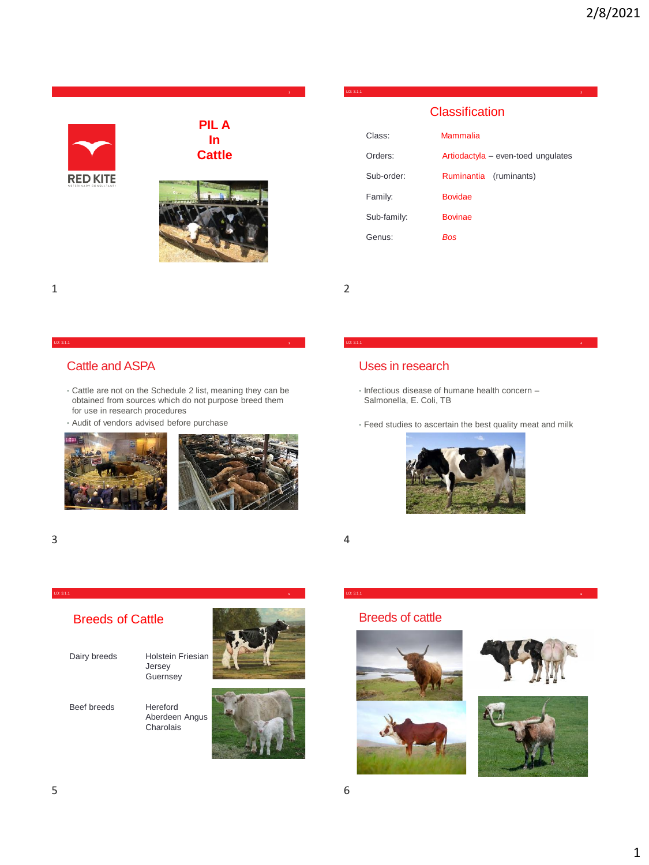

1 2

#### LO: 3.1.1 **3**

## Cattle and ASPA

- Cattle are not on the Schedule 2 list, meaning they can be obtained from sources which do not purpose breed them for use in research procedures
- Audit of vendors advised before purchase



## Uses in research

- Infectious disease of humane health concern Salmonella, E. Coli, TB
- Feed studies to ascertain the best quality meat and milk

LO: 3.1.1 **4**



LO: 3.1.1 **6**



Dairy breeds Holstein Friesian Jersey **Guernsey** 

LO: 3.1.1 **5**

Beef breeds Hereford





# Breeds of cattle





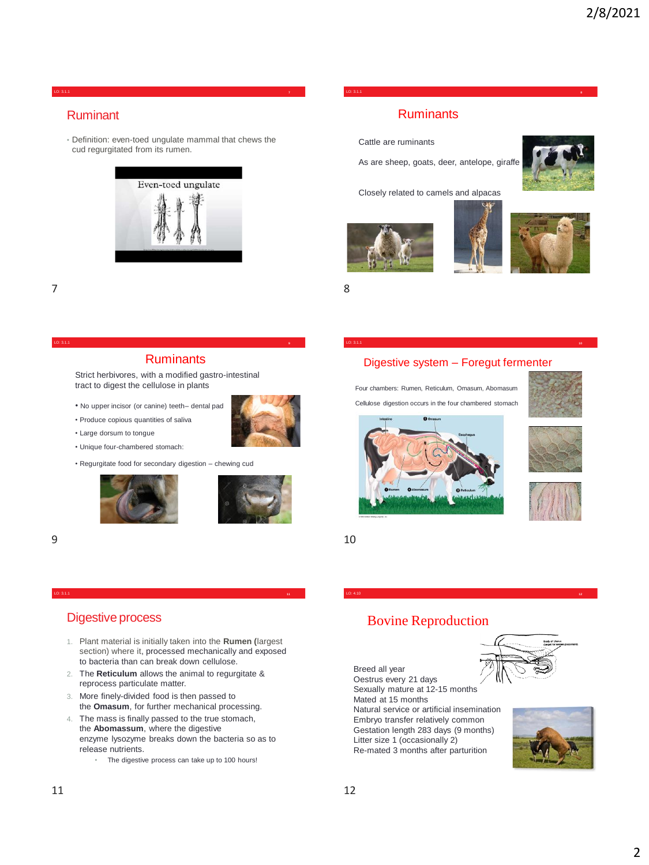#### LO: 3.1.1 **7**

### Ruminant

• Definition: even-toed ungulate mammal that chews the cud regurgitated from its rumen.



Cattle are ruminants

As are sheep, goats, deer, antelope, giraffe

Four chambers: Rumen, Reticulum, Omasum, Abomasum Cellulose digestion occurs in the four chambered stomach

LO: 3.1.1 **10**

LO: 3.1.1 **8**

Closely related to camels and alpacas







7 8

#### LO: 3.1.1 **9**

#### **Ruminants**

Strict herbivores, with a modified gastro-intestinal tract to digest the cellulose in plants

- No upper incisor (or canine) teeth– dental pad
- Produce copious quantities of saliva
- Large dorsum to tongue
- Unique four-chambered stomach:
- Regurgitate food for secondary digestion chewing cud





#### $9 \hspace{2.5cm} 10$

#### LO: 3.1.1 **11**

## Digestive process

- 1. Plant material is initially taken into the **Rumen (**largest section) where it, processed mechanically and exposed to bacteria than can break down cellulose.
- 2. The **Reticulum** allows the animal to regurgitate & reprocess particulate matter.
- 3. More finely-divided food is then passed to the **Omasum**, for further mechanical processing.
- 4. The mass is finally passed to the true stomach, the **Abomassum**, where the digestive enzyme lysozyme breaks down the bacteria so as to release nutrients.
	- The digestive process can take up to 100 hours!



Breed all year Oestrus every 21 days Sexually mature at 12-15 months Mated at 15 months Natural service or artificial insemination Embryo transfer relatively common Gestation length 283 days (9 months) Litter size 1 (occasionally 2) Re-mated 3 months after parturition









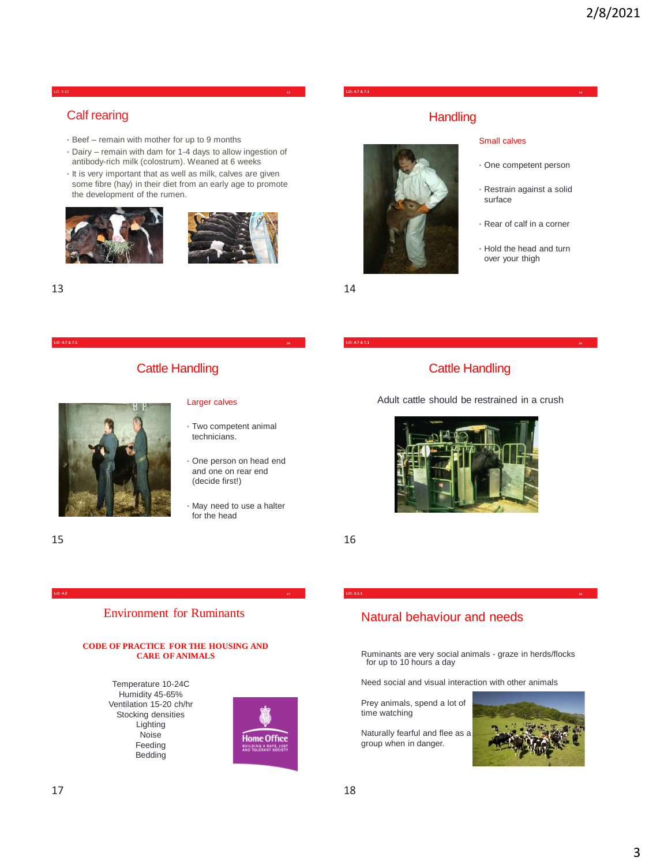#### LO: 4.10 **13**

## Calf rearing

- Beef remain with mother for up to 9 months
- Dairy remain with dam for 1-4 days to allow ingestion of antibody-rich milk (colostrum). Weaned at 6 weeks
- It is very important that as well as milk, calves are given some fibre (hay) in their diet from an early age to promote the development of the rumen.





# Cattle Handling



#### Larger calves

- Two competent animal technicians.
- One person on head end and one on rear end (decide first!)
- May need to use a halter for the head

 $15$  16

#### Environment for Ruminants **LO: 4.2 17**

#### **CODE OF PRACTICE FOR THE HOUSING AND CARE OF ANIMALS**

Temperature 10-24C Humidity 45-65% Ventilation 15-20 ch/hr Stocking densities Lighting Noise Feeding Bedding



#### **LO: 4.7 & 7.1 14**

## **Handling**

Small calves

surface

• One competent person

• Restrain against a solid

• Rear of calf in a corner

• Hold the head and turn over your thigh



 $13$  and  $14$ 

## Cattle Handling

Adult cattle should be restrained in a crush



## Natural behaviour and needs

Ruminants are very social animals - graze in herds/flocks for up to 10 hours a day

**LO: 3.1.1 18**

Need social and visual interaction with other animals

Prey animals, spend a lot of time watching

Naturally fearful and flee as a group when in danger.

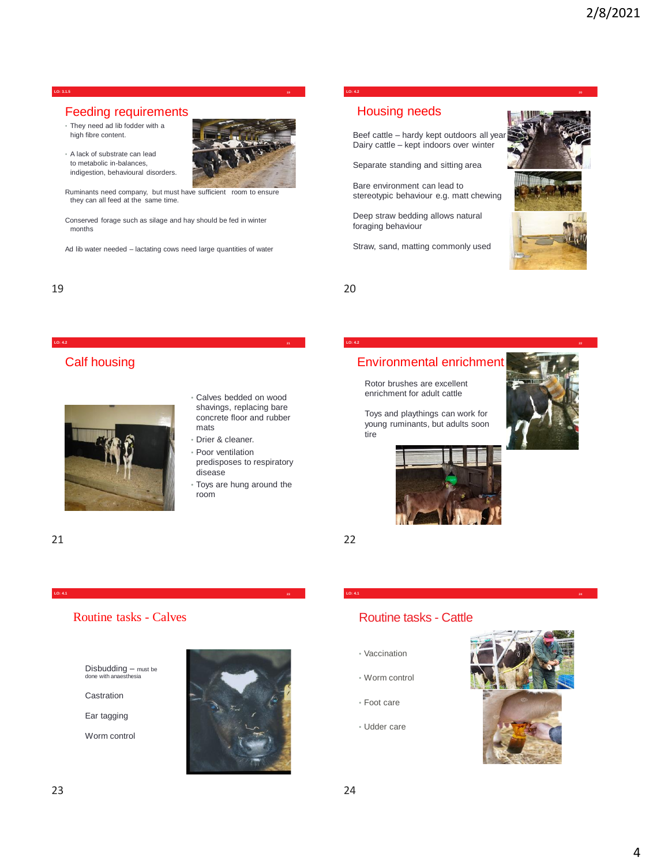#### **LO: 3.1.5 19**

#### Feeding requirements

- They need ad lib fodder with a high fibre content.
- A lack of substrate can lead to metabolic in-balances, indigestion, behavioural disorders.



Ruminants need company, but must have sufficient room to ensure they can all feed at the same time.

Conserved forage such as silage and hay should be fed in winter months

Ad lib water needed – lactating cows need large quantities of water

**LO: 4.2 21**

Calf housing

• Calves bedded on wood shavings, replacing bare concrete floor and rubber mats

- Drier & cleaner.
- Poor ventilation predisposes to respiratory disease
- Toys are hung around the room

21 22

### Routine tasks - Calves

**LO: 4.1 23**

Disbudding – must be done with anaesthesia

Castration

Ear tagging

Worm control



### **LO: 4.2 20**

# Housing needs

Beef cattle – hardy kept outdoors all ye Dairy cattle – kept indoors over winter

Separate standing and sitting area

Bare environment can lead to stereotypic behaviour e.g. matt chewing

Deep straw bedding allows natural foraging behaviour

Straw, sand, matting commonly used



19 20

## Environmental enrichment

**LO: 4.2 22**

Rotor brushes are excellent enrichment for adult cattle

Toys and playthings can work for young ruminants, but adults soon tire





**LO: 4.1 <sup>24</sup>**

# Routine tasks - Cattle

- Vaccination
- Worm control
- Foot care
- Udder care

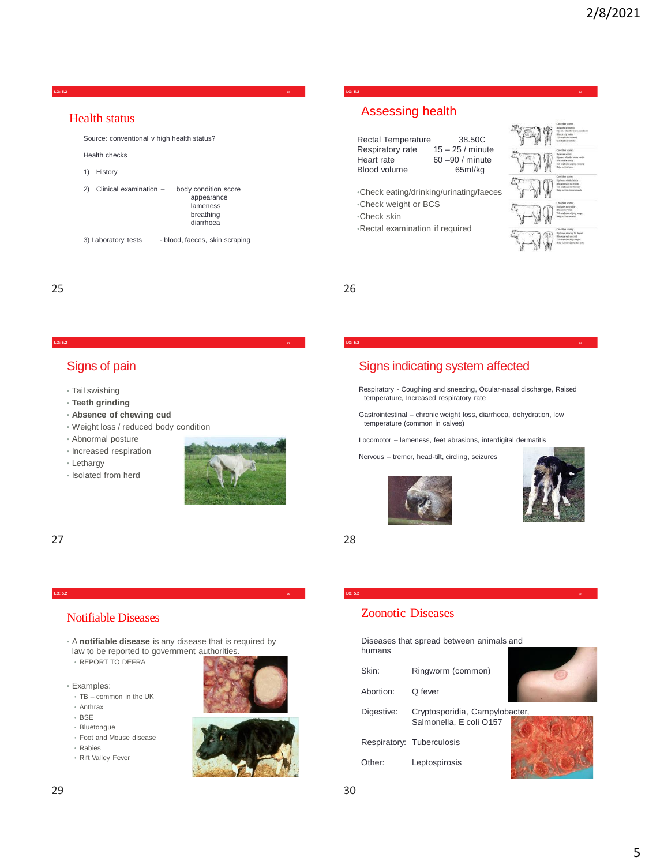

**LO: 5.2 27**

**LO: 5.2 26**

# Assessing health

| Rectal Temperature  | 38.50C             |
|---------------------|--------------------|
| Respiratory rate    | $15 - 25$ / minute |
| Heart rate          | 60 -90 / minute    |
| <b>Blood volume</b> | 65ml/ka            |
|                     |                    |

•Check eating/drinking/urinating/faeces •Check weight or BCS

•Check skin

•Rectal examination if required



25 26

## Signs of pain

- Tail swishing
- **Teeth grinding**
- **Absence of chewing cud**
- Weight loss / reduced body condition
- Abnormal posture
- Increased respiration
- Lethargy
- Isolated from herd



27 28

### Notifiable Diseases

• A **notifiable disease** is any disease that is required by law to be reported to government authorities.

**LO: 5.2 29**

- REPORT TO DEFRA
- Examples:
- TB common in the UK
- Anthrax
- BSE
- Bluetongue
- Foot and Mouse disease
- Rabies
- Rift Valley Fever



# Signs indicating system affected

Respiratory - Coughing and sneezing, Ocular-nasal discharge, Raised temperature, Increased respiratory rate

**LO: 5.2 28**

Gastrointestinal – chronic weight loss, diarrhoea, dehydration, low temperature (common in calves)

Locomotor – lameness, feet abrasions, interdigital dermatitis

Nervous – tremor, head-tilt, circling, seizures





## Zoonotic Diseases

Diseases that spread between animals and humans

**LO: 5.2 30**

| Skin:              | Ringworm (common)                                         |  |
|--------------------|-----------------------------------------------------------|--|
| Abortion:          | Q fever                                                   |  |
| Digestive:         | Cryptosporidia, Campylobacter,<br>Salmonella, E coli O157 |  |
|                    | Respiratory: Tuberculosis                                 |  |
| Other <sup>-</sup> | Leptospirosis                                             |  |

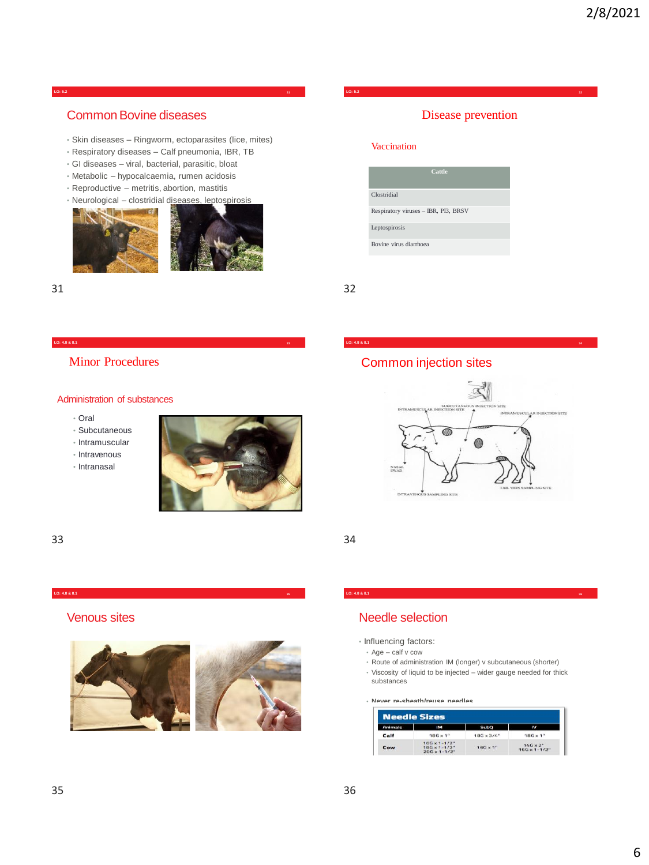#### **LO: 5.2 31**

## Common Bovine diseases

- Skin diseases Ringworm, ectoparasites (lice, mites)
- Respiratory diseases Calf pneumonia, IBR, TB
- GI diseases viral, bacterial, parasitic, bloat
- Metabolic hypocalcaemia, rumen acidosis
- Reproductive metritis, abortion, mastitis



31 32

#### Disease prevention

**LO: 5.2 32**

#### Vaccination



### Minor Procedures

#### Administration of substances

- Oral
- Subcutaneous
- Intramuscular
- Intravenous
- Intranasal



33 34

#### **LO: 4.8 & 8.1 35**

Venous sites



#### **LO: 4.8 & 8.1 36**

# Needle selection

- Influencing factors:
	- Age calf v cow
- Route of administration IM (longer) v subcutaneous (shorter)
- Viscosity of liquid to be injected wider gauge needed for thick substances

• **Never re-sheath/reuse needles**

| <b>Needle Sizes</b> |                                                                            |                    |                                            |  |
|---------------------|----------------------------------------------------------------------------|--------------------|--------------------------------------------|--|
| <b>Animals</b>      | IM                                                                         | <b>SubQ</b>        | w                                          |  |
| Calf                | $186 \times 1$ "                                                           | $186 \times 3/4$ " | $18G \times 1$ "                           |  |
| Cow                 | $16G \times 1 - 1/2$ "<br>$186 \times 1 - 1/2$ "<br>$20G \times 1 - 1/2$ " | $16G \times 1$ "   | $14G \times 2$ "<br>$16G \times 1 - 1/2$ " |  |

# Common injection sites

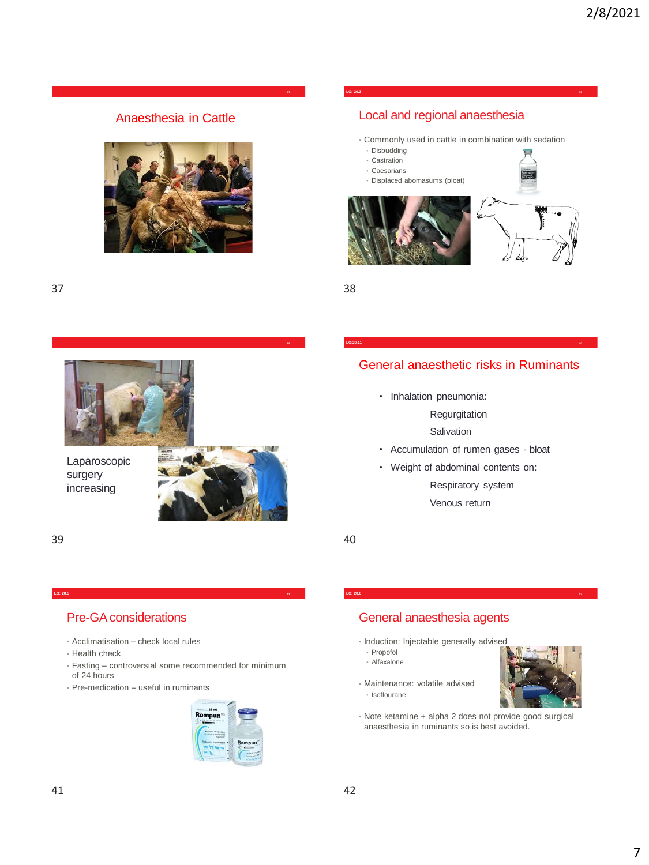Anaesthesia in Cattle



#### **LO: 20.3 38**

# Local and regional anaesthesia

- Commonly used in cattle in combination with sedation
- Disbudding
- Castration • Caesarians
- Displaced abomasums (bloat)





**39**



Laparoscopic surgery increasing



39 40

# Pre-GA considerations

- Acclimatisation check local rules
- Health check
- Fasting controversial some recommended for minimum of 24 hours

**LO: 20.5 41**

• Pre-medication – useful in ruminants



# General anaesthesia agents

- Induction: Injectable generally advised
- Propofol
- Alfaxalone
- Maintenance: volatile advised • Isoflourane



• Note ketamine + alpha 2 does not provide good surgical anaesthesia in ruminants so is best avoided.

General anaesthetic risks in Ruminants **LO:20.11 40**

- Inhalation pneumonia:
	- Regurgitation

**Salivation** 

- Accumulation of rumen gases bloat
- Weight of abdominal contents on:

Respiratory system Venous return

**LO: 20.6 42**

7